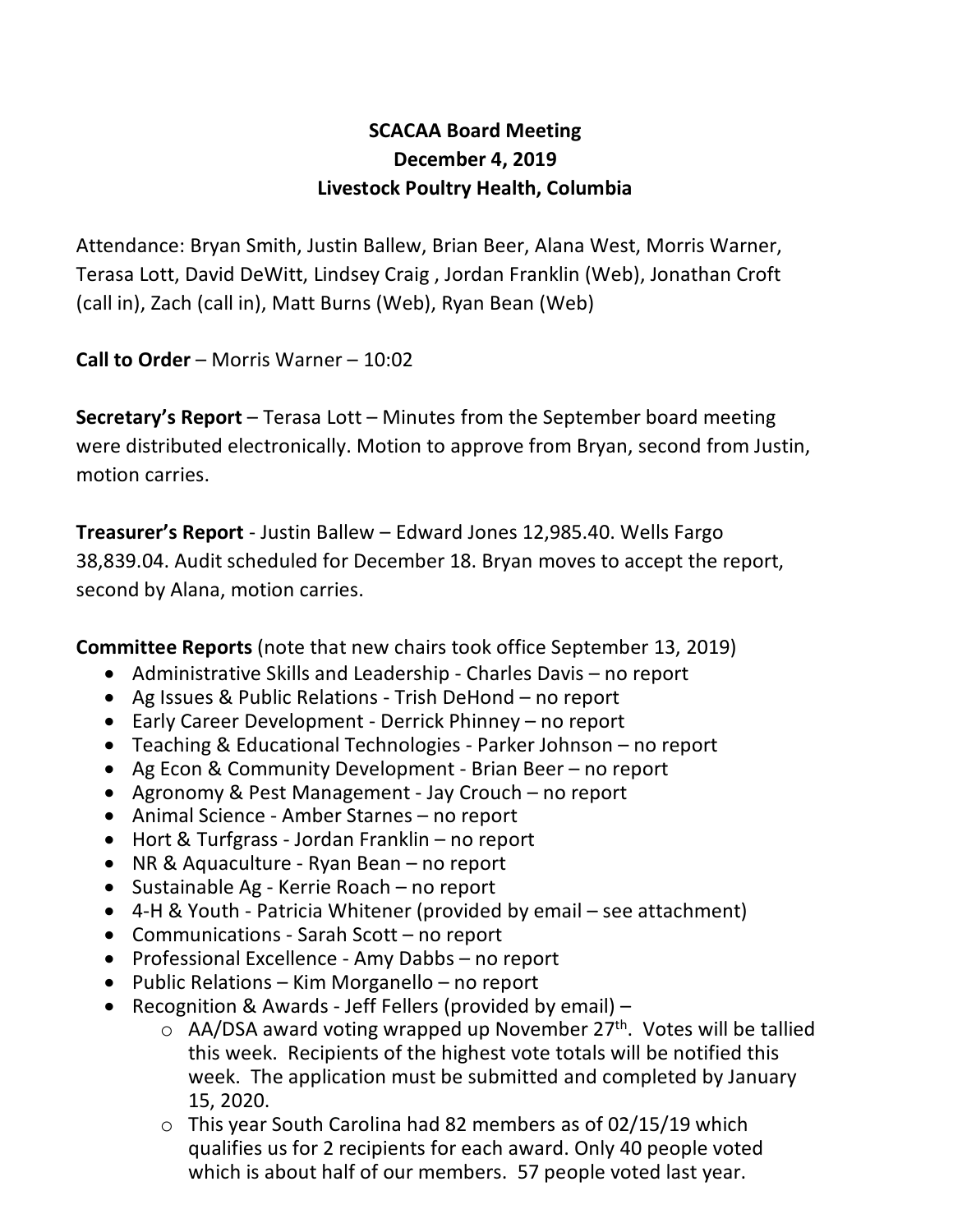# **SCACAA Board Meeting December 4, 2019 Livestock Poultry Health, Columbia**

Attendance: Bryan Smith, Justin Ballew, Brian Beer, Alana West, Morris Warner, Terasa Lott, David DeWitt, Lindsey Craig , Jordan Franklin (Web), Jonathan Croft (call in), Zach (call in), Matt Burns (Web), Ryan Bean (Web)

**Call to Order** – Morris Warner – 10:02

**Secretary's Report** – Terasa Lott – Minutes from the September board meeting were distributed electronically. Motion to approve from Bryan, second from Justin, motion carries.

**Treasurer's Report** - Justin Ballew – Edward Jones 12,985.40. Wells Fargo 38,839.04. Audit scheduled for December 18. Bryan moves to accept the report, second by Alana, motion carries.

**Committee Reports** (note that new chairs took office September 13, 2019)

- Administrative Skills and Leadership Charles Davis no report
- Ag Issues & Public Relations Trish DeHond no report
- Early Career Development Derrick Phinney no report
- Teaching & Educational Technologies Parker Johnson no report
- Ag Econ & Community Development Brian Beer no report
- Agronomy & Pest Management Jay Crouch no report
- Animal Science Amber Starnes no report
- Hort & Turfgrass Jordan Franklin no report
- NR & Aquaculture Ryan Bean no report
- Sustainable Ag Kerrie Roach no report
- 4-H & Youth Patricia Whitener (provided by email see attachment)
- Communications Sarah Scott no report
- Professional Excellence Amy Dabbs no report
- Public Relations Kim Morganello no report
- Recognition & Awards Jeff Fellers (provided by email)
	- $\circ$  AA/DSA award voting wrapped up November 27<sup>th</sup>. Votes will be tallied this week. Recipients of the highest vote totals will be notified this week. The application must be submitted and completed by January 15, 2020.
	- $\circ$  This year South Carolina had 82 members as of 02/15/19 which qualifies us for 2 recipients for each award. Only 40 people voted which is about half of our members. 57 people voted last year.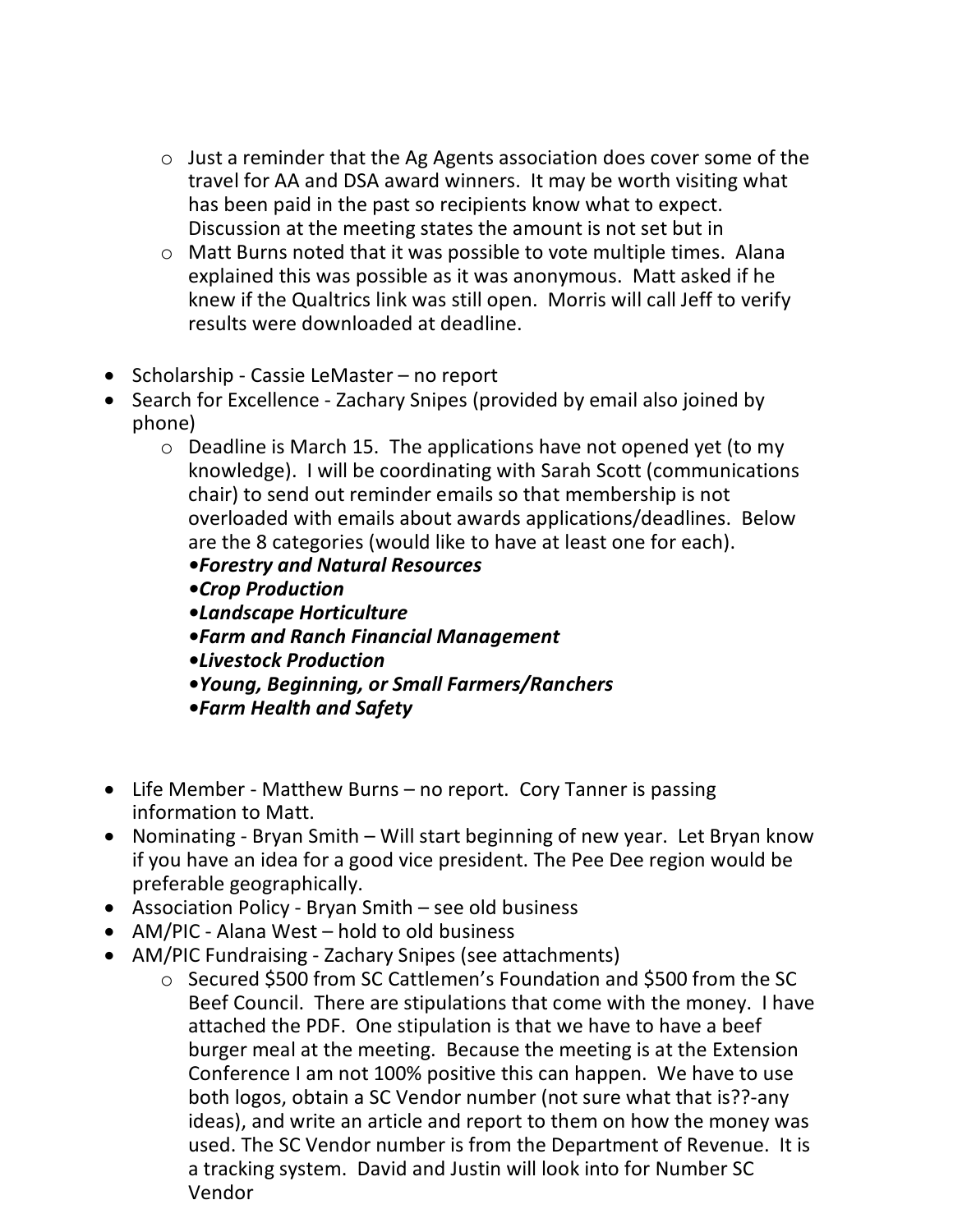- o Just a reminder that the Ag Agents association does cover some of the travel for AA and DSA award winners. It may be worth visiting what has been paid in the past so recipients know what to expect. Discussion at the meeting states the amount is not set but in
- o Matt Burns noted that it was possible to vote multiple times. Alana explained this was possible as it was anonymous. Matt asked if he knew if the Qualtrics link was still open. Morris will call Jeff to verify results were downloaded at deadline.
- Scholarship Cassie LeMaster no report
- Search for Excellence Zachary Snipes (provided by email also joined by phone)
	- o Deadline is March 15. The applications have not opened yet (to my knowledge). I will be coordinating with Sarah Scott (communications chair) to send out reminder emails so that membership is not overloaded with emails about awards applications/deadlines. Below are the 8 categories (would like to have at least one for each).
		- *•Forestry and Natural Resources*
		- *•Crop Production*
		- *•Landscape Horticulture*
		- *•Farm and Ranch Financial Management*
		- *•Livestock Production*
		- *•Young, Beginning, or Small Farmers/Ranchers*
		- *•Farm Health and Safety*
- Life Member Matthew Burns no report. Cory Tanner is passing information to Matt.
- Nominating Bryan Smith Will start beginning of new year. Let Bryan know if you have an idea for a good vice president. The Pee Dee region would be preferable geographically.
- Association Policy Bryan Smith see old business
- AM/PIC Alana West hold to old business
- AM/PIC Fundraising Zachary Snipes (see attachments)
	- o Secured \$500 from SC Cattlemen's Foundation and \$500 from the SC Beef Council. There are stipulations that come with the money. I have attached the PDF. One stipulation is that we have to have a beef burger meal at the meeting. Because the meeting is at the Extension Conference I am not 100% positive this can happen. We have to use both logos, obtain a SC Vendor number (not sure what that is??-any ideas), and write an article and report to them on how the money was used. The SC Vendor number is from the Department of Revenue. It is a tracking system. David and Justin will look into for Number SC Vendor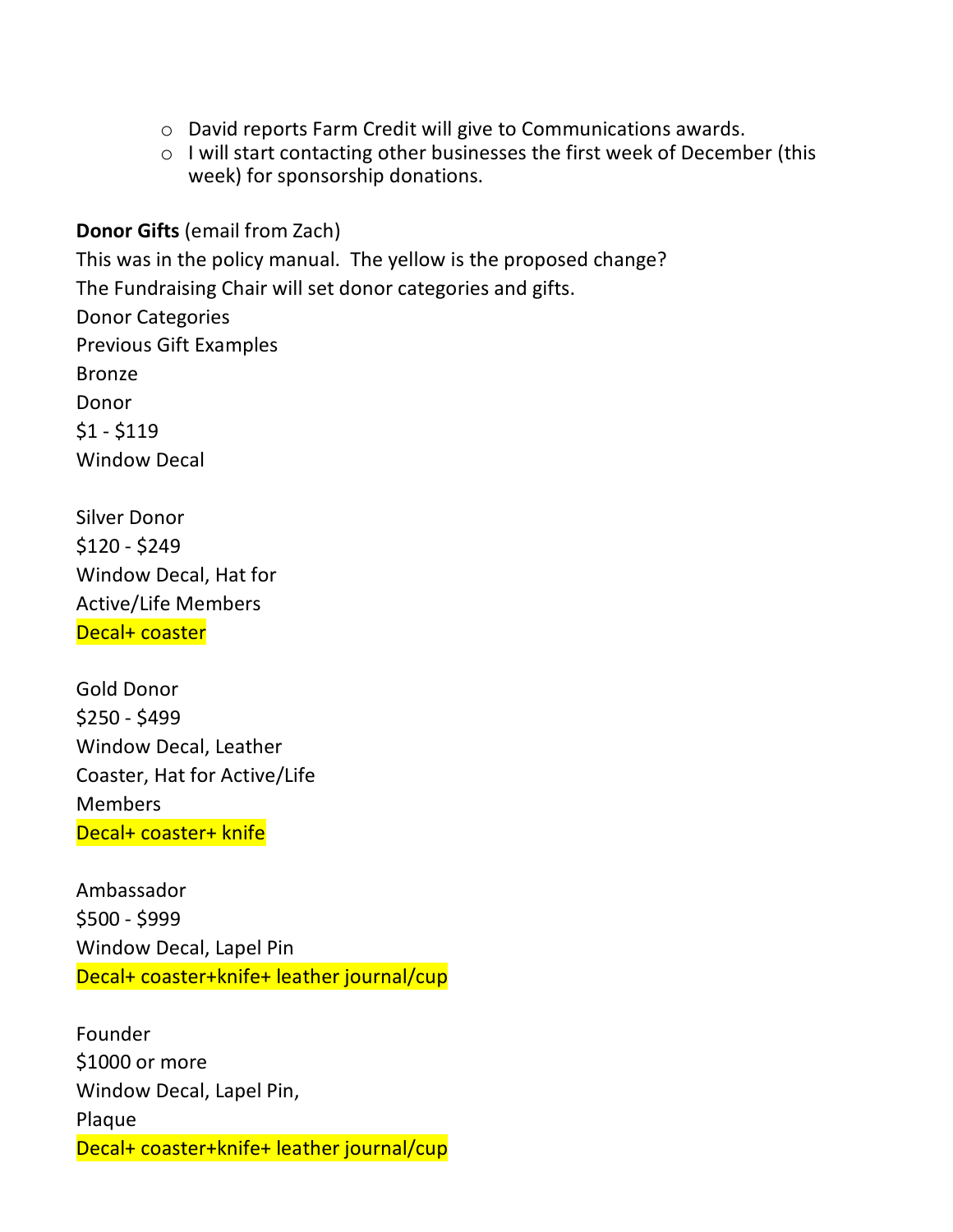- o David reports Farm Credit will give to Communications awards.
- o I will start contacting other businesses the first week of December (this week) for sponsorship donations.

**Donor Gifts** (email from Zach)

This was in the policy manual. The yellow is the proposed change? The Fundraising Chair will set donor categories and gifts. Donor Categories Previous Gift Examples Bronze Donor  $$1 - $119$ Window Decal

Silver Donor \$120 - \$249 Window Decal, Hat for Active/Life Members Decal+ coaster

Gold Donor \$250 - \$499 Window Decal, Leather Coaster, Hat for Active/Life **Members** Decal+ coaster+ knife

Ambassador \$500 - \$999 Window Decal, Lapel Pin Decal+ coaster+knife+ leather journal/cup

Founder \$1000 or more Window Decal, Lapel Pin, Plaque Decal+ coaster+knife+ leather journal/cup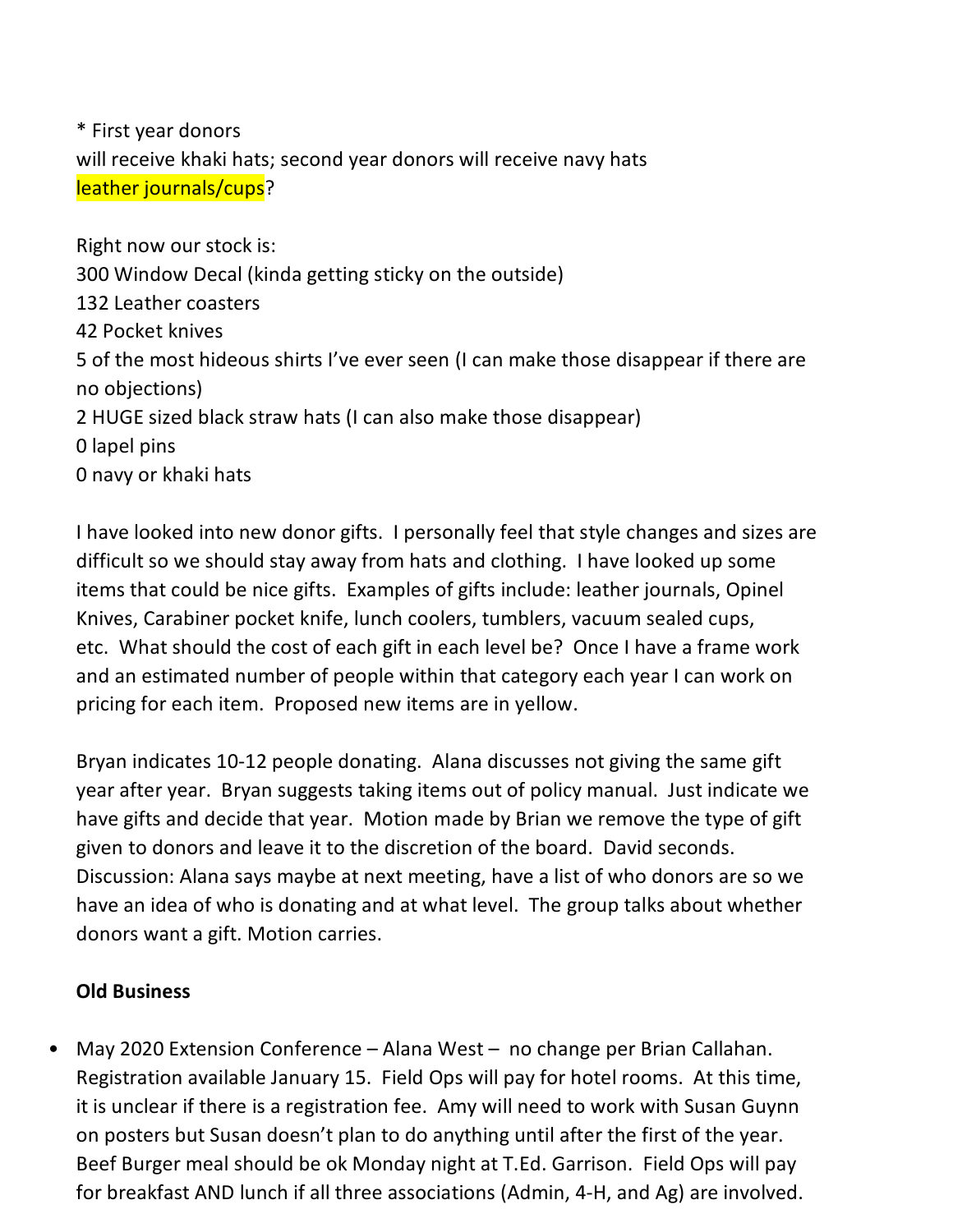\* First year donors will receive khaki hats; second year donors will receive navy hats leather journals/cups?

Right now our stock is: 300 Window Decal (kinda getting sticky on the outside) 132 Leather coasters 42 Pocket knives 5 of the most hideous shirts I've ever seen (I can make those disappear if there are no objections) 2 HUGE sized black straw hats (I can also make those disappear) 0 lapel pins 0 navy or khaki hats

I have looked into new donor gifts. I personally feel that style changes and sizes are difficult so we should stay away from hats and clothing. I have looked up some items that could be nice gifts. Examples of gifts include: leather journals, Opinel Knives, Carabiner pocket knife, lunch coolers, tumblers, vacuum sealed cups, etc. What should the cost of each gift in each level be? Once I have a frame work and an estimated number of people within that category each year I can work on pricing for each item. Proposed new items are in yellow.

Bryan indicates 10-12 people donating. Alana discusses not giving the same gift year after year. Bryan suggests taking items out of policy manual. Just indicate we have gifts and decide that year. Motion made by Brian we remove the type of gift given to donors and leave it to the discretion of the board. David seconds. Discussion: Alana says maybe at next meeting, have a list of who donors are so we have an idea of who is donating and at what level. The group talks about whether donors want a gift. Motion carries.

## **Old Business**

• May 2020 Extension Conference – Alana West – no change per Brian Callahan. Registration available January 15. Field Ops will pay for hotel rooms. At this time, it is unclear if there is a registration fee. Amy will need to work with Susan Guynn on posters but Susan doesn't plan to do anything until after the first of the year. Beef Burger meal should be ok Monday night at T.Ed. Garrison. Field Ops will pay for breakfast AND lunch if all three associations (Admin, 4-H, and Ag) are involved.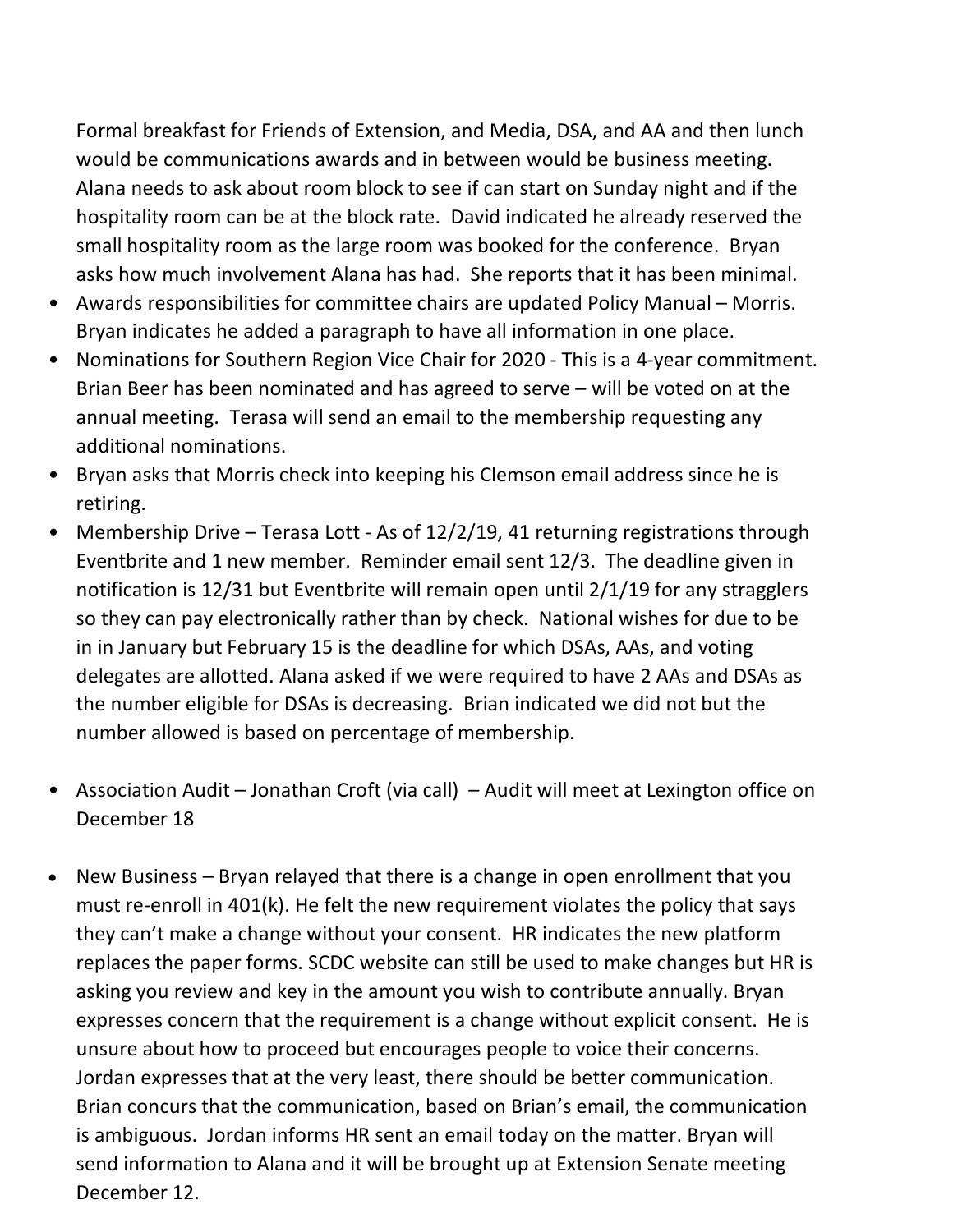Formal breakfast for Friends of Extension, and Media, DSA, and AA and then lunch would be communications awards and in between would be business meeting. Alana needs to ask about room block to see if can start on Sunday night and if the hospitality room can be at the block rate. David indicated he already reserved the small hospitality room as the large room was booked for the conference. Bryan asks how much involvement Alana has had. She reports that it has been minimal.

- Awards responsibilities for committee chairs are updated Policy Manual Morris. Bryan indicates he added a paragraph to have all information in one place.
- Nominations for Southern Region Vice Chair for 2020 This is a 4-year commitment. Brian Beer has been nominated and has agreed to serve – will be voted on at the annual meeting. Terasa will send an email to the membership requesting any additional nominations.
- Bryan asks that Morris check into keeping his Clemson email address since he is retiring.
- Membership Drive Terasa Lott As of 12/2/19, 41 returning registrations through Eventbrite and 1 new member. Reminder email sent 12/3. The deadline given in notification is 12/31 but Eventbrite will remain open until 2/1/19 for any stragglers so they can pay electronically rather than by check. National wishes for due to be in in January but February 15 is the deadline for which DSAs, AAs, and voting delegates are allotted. Alana asked if we were required to have 2 AAs and DSAs as the number eligible for DSAs is decreasing. Brian indicated we did not but the number allowed is based on percentage of membership.
- Association Audit Jonathan Croft (via call) Audit will meet at Lexington office on December 18
- New Business Bryan relayed that there is a change in open enrollment that you must re-enroll in 401(k). He felt the new requirement violates the policy that says they can't make a change without your consent. HR indicates the new platform replaces the paper forms. SCDC website can still be used to make changes but HR is asking you review and key in the amount you wish to contribute annually. Bryan expresses concern that the requirement is a change without explicit consent. He is unsure about how to proceed but encourages people to voice their concerns. Jordan expresses that at the very least, there should be better communication. Brian concurs that the communication, based on Brian's email, the communication is ambiguous. Jordan informs HR sent an email today on the matter. Bryan will send information to Alana and it will be brought up at Extension Senate meeting December 12.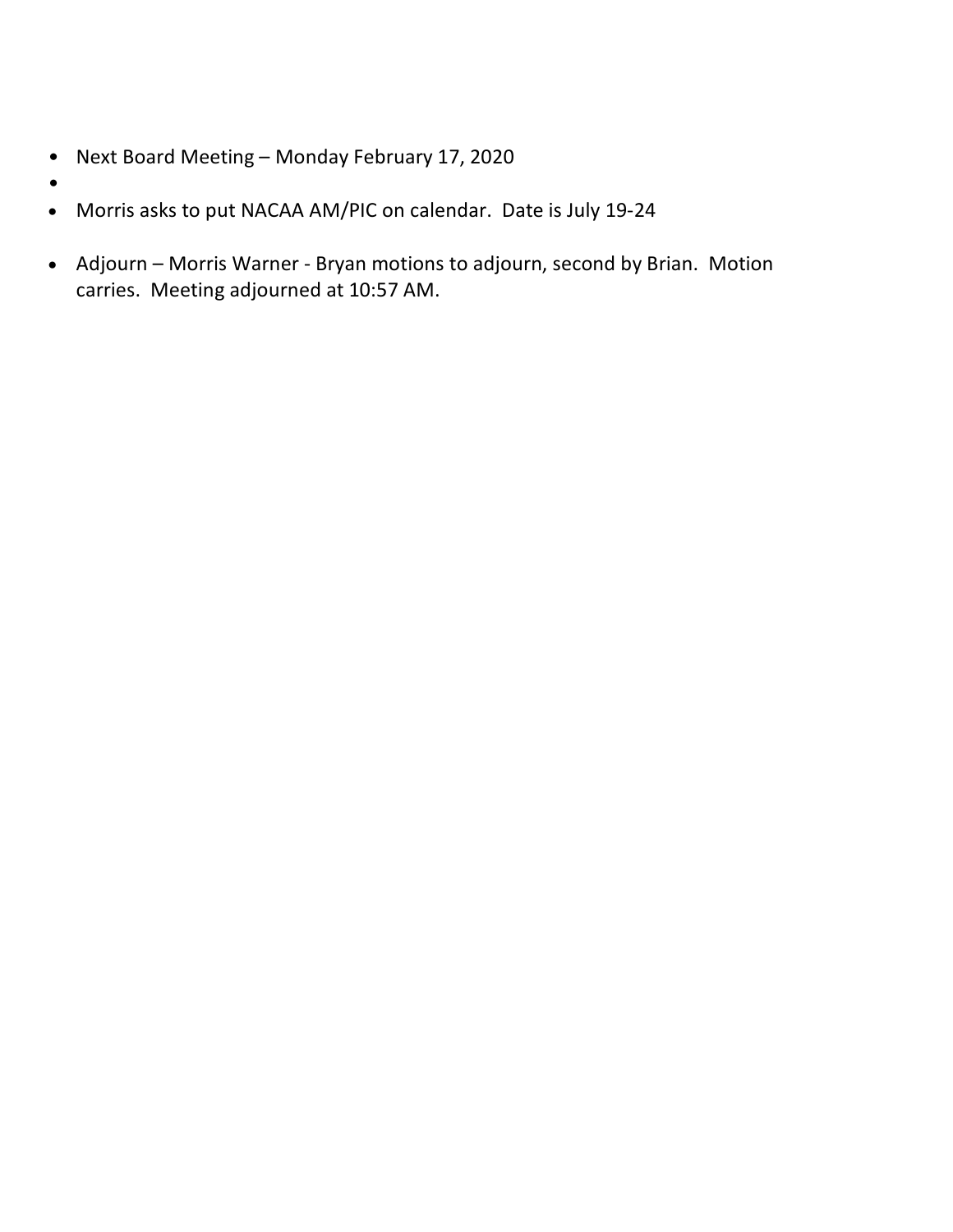- Next Board Meeting Monday February 17, 2020
- •
- Morris asks to put NACAA AM/PIC on calendar. Date is July 19-24
- Adjourn Morris Warner Bryan motions to adjourn, second by Brian. Motion carries. Meeting adjourned at 10:57 AM.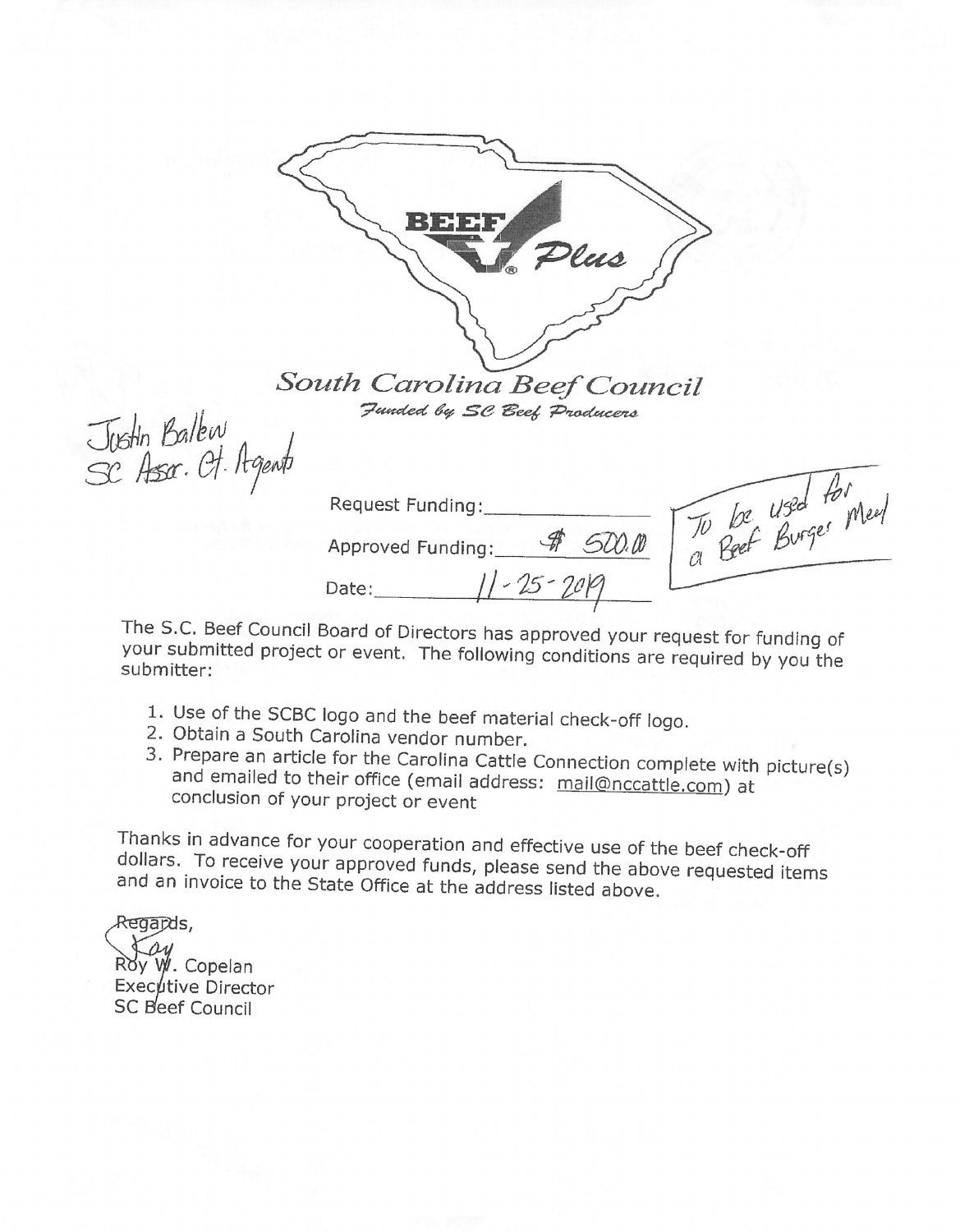

South Carolina Beef Council Funded by SC Beef Producers

Justin Ballew<br>SC Assa. Ot. Agent

To be used for meet Request Funding: Approved Funding: # 500.00 Date:  $11 - 25 - 2019$ 

The S.C. Beef Council Board of Directors has approved your request for funding of your submitted project or event. The following conditions are required by you the submitter:

- 1. Use of the SCBC logo and the beef material check-off logo.
- 2. Obtain a South Carolina vendor number.
- 3. Prepare an article for the Carolina Cattle Connection complete with picture(s) and emailed to their office (email address: mail@nccattle.com) at conclusion of your project or event

Thanks in advance for your cooperation and effective use of the beef check-off dollars. To receive your approved funds, please send the above requested items and an invoice to the State Office at the address listed above.

Regapds, W. Copelan Executive Director SC Beef Council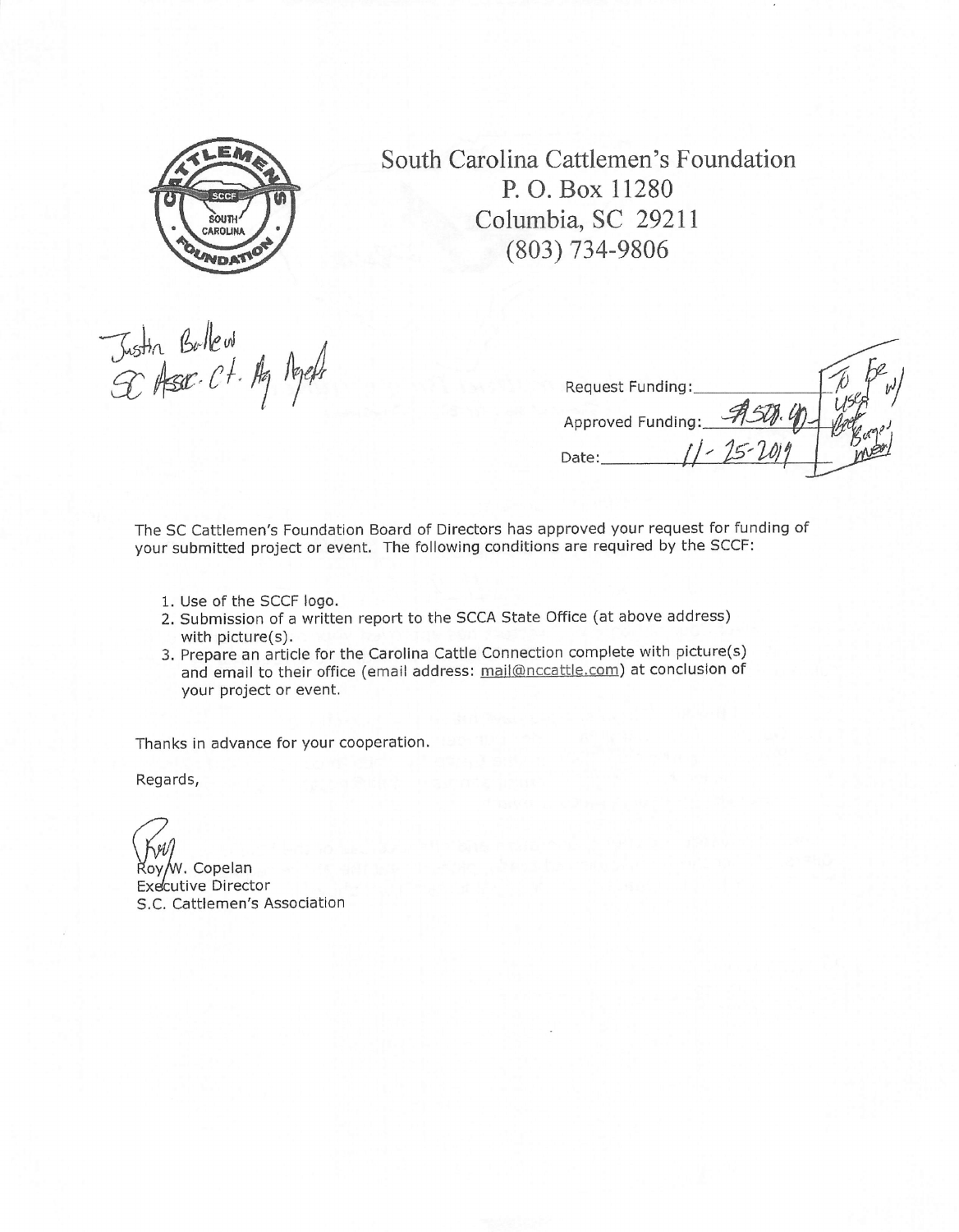

South Carolina Cattlemen's Foundation P. O. Box 11280 Columbia, SC 29211  $(803) 734 - 9806$ 

Justin Bullew<br>GC Asser Ct. Ag Repelt

| Request Funding:  |  |
|-------------------|--|
| Approved Funding: |  |
| Date:             |  |
|                   |  |

The SC Cattlemen's Foundation Board of Directors has approved your request for funding of your submitted project or event. The following conditions are required by the SCCF:

- 1. Use of the SCCF logo.
- 2. Submission of a written report to the SCCA State Office (at above address) with picture(s).
- 3. Prepare an article for the Carolina Cattle Connection complete with picture(s) and email to their office (email address: mail@nccattle.com) at conclusion of your project or event.

Thanks in advance for your cooperation.

Regards,

ov/w. Copelan Executive Director S.C. Cattlemen's Association